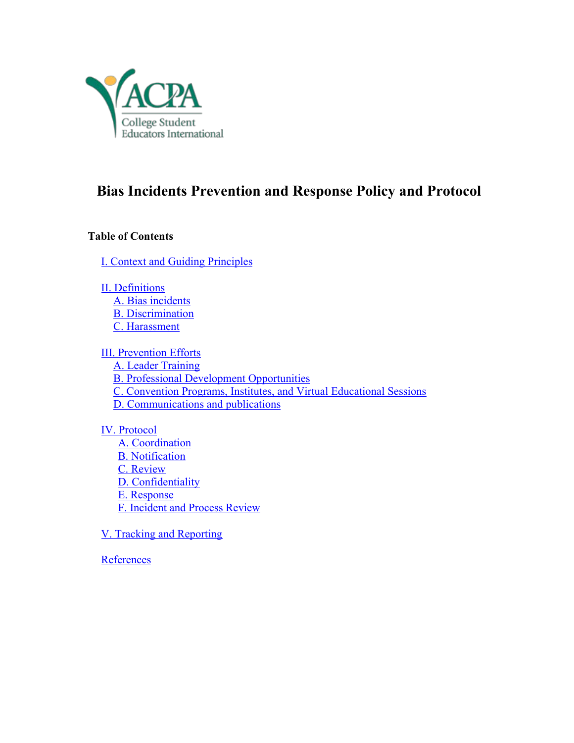

# **Bias Incidents Prevention and Response Policy and Protocol**

## **Table of Contents**

I. Context and Guiding Principles

II. Definitions A. Bias incidents B. Discrimination C. Harassment

III. Prevention Efforts A. Leader Training B. Professional Development Opportunities C. Convention Programs, Institutes, and Virtual Educational Sessions D. Communications and publications

- IV. Protocol A. Coordination B. Notification C. Review D. Confidentiality E. Response F. Incident and Process Review
- V. Tracking and Reporting

**References**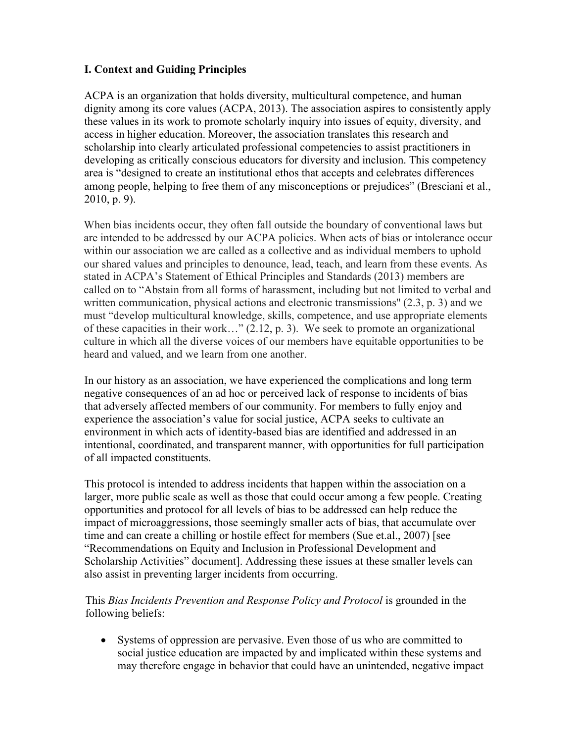# **I. Context and Guiding Principles**

ACPA is an organization that holds diversity, multicultural competence, and human dignity among its core values (ACPA, 2013). The association aspires to consistently apply these values in its work to promote scholarly inquiry into issues of equity, diversity, and access in higher education. Moreover, the association translates this research and scholarship into clearly articulated professional competencies to assist practitioners in developing as critically conscious educators for diversity and inclusion. This competency area is "designed to create an institutional ethos that accepts and celebrates differences among people, helping to free them of any misconceptions or prejudices" (Bresciani et al., 2010, p. 9).

When bias incidents occur, they often fall outside the boundary of conventional laws but are intended to be addressed by our ACPA policies. When acts of bias or intolerance occur within our association we are called as a collective and as individual members to uphold our shared values and principles to denounce, lead, teach, and learn from these events. As stated in ACPA's Statement of Ethical Principles and Standards (2013) members are called on to "Abstain from all forms of harassment, including but not limited to verbal and written communication, physical actions and electronic transmissions" (2.3, p. 3) and we must "develop multicultural knowledge, skills, competence, and use appropriate elements of these capacities in their work…" (2.12, p. 3). We seek to promote an organizational culture in which all the diverse voices of our members have equitable opportunities to be heard and valued, and we learn from one another.

In our history as an association, we have experienced the complications and long term negative consequences of an ad hoc or perceived lack of response to incidents of bias that adversely affected members of our community. For members to fully enjoy and experience the association's value for social justice, ACPA seeks to cultivate an environment in which acts of identity-based bias are identified and addressed in an intentional, coordinated, and transparent manner, with opportunities for full participation of all impacted constituents.

This protocol is intended to address incidents that happen within the association on a larger, more public scale as well as those that could occur among a few people. Creating opportunities and protocol for all levels of bias to be addressed can help reduce the impact of microaggressions, those seemingly smaller acts of bias, that accumulate over time and can create a chilling or hostile effect for members (Sue et.al., 2007) [see "Recommendations on Equity and Inclusion in Professional Development and Scholarship Activities" document]. Addressing these issues at these smaller levels can also assist in preventing larger incidents from occurring.

This *Bias Incidents Prevention and Response Policy and Protocol* is grounded in the following beliefs:

• Systems of oppression are pervasive. Even those of us who are committed to social justice education are impacted by and implicated within these systems and may therefore engage in behavior that could have an unintended, negative impact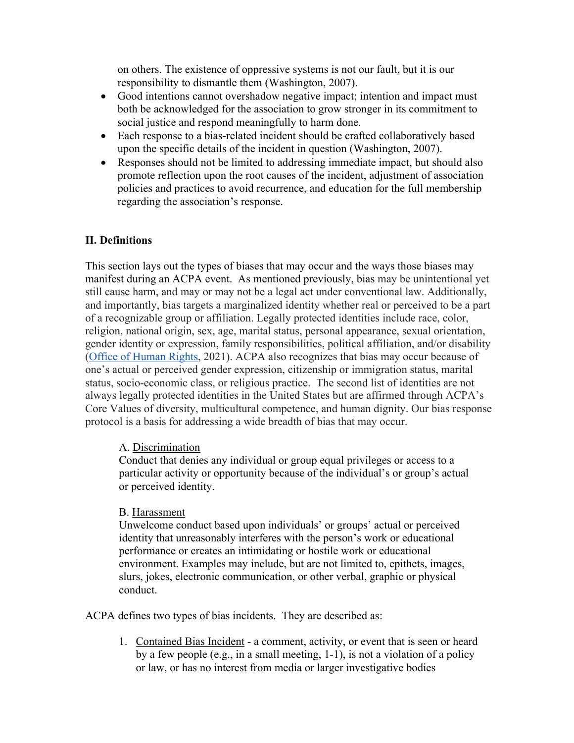on others. The existence of oppressive systems is not our fault, but it is our responsibility to dismantle them (Washington, 2007).

- Good intentions cannot overshadow negative impact; intention and impact must both be acknowledged for the association to grow stronger in its commitment to social justice and respond meaningfully to harm done.
- Each response to a bias-related incident should be crafted collaboratively based upon the specific details of the incident in question (Washington, 2007).
- Responses should not be limited to addressing immediate impact, but should also promote reflection upon the root causes of the incident, adjustment of association policies and practices to avoid recurrence, and education for the full membership regarding the association's response.

# **II. Definitions**

This section lays out the types of biases that may occur and the ways those biases may manifest during an ACPA event. As mentioned previously, bias may be unintentional yet still cause harm, and may or may not be a legal act under conventional law. Additionally, and importantly, bias targets a marginalized identity whether real or perceived to be a part of a recognizable group or affiliation. Legally protected identities include race, color, religion, national origin, sex, age, marital status, personal appearance, sexual orientation, gender identity or expression, family responsibilities, political affiliation, and/or disability (Office of Human Rights, 2021). ACPA also recognizes that bias may occur because of one's actual or perceived gender expression, citizenship or immigration status, marital status, socio-economic class, or religious practice. The second list of identities are not always legally protected identities in the United States but are affirmed through ACPA's Core Values of diversity, multicultural competence, and human dignity. Our bias response protocol is a basis for addressing a wide breadth of bias that may occur.

## A. Discrimination

Conduct that denies any individual or group equal privileges or access to a particular activity or opportunity because of the individual's or group's actual or perceived identity.

## B. Harassment

Unwelcome conduct based upon individuals' or groups' actual or perceived identity that unreasonably interferes with the person's work or educational performance or creates an intimidating or hostile work or educational environment. Examples may include, but are not limited to, epithets, images, slurs, jokes, electronic communication, or other verbal, graphic or physical conduct.

ACPA defines two types of bias incidents. They are described as:

1. Contained Bias Incident - a comment, activity, or event that is seen or heard by a few people (e.g., in a small meeting, 1-1), is not a violation of a policy or law, or has no interest from media or larger investigative bodies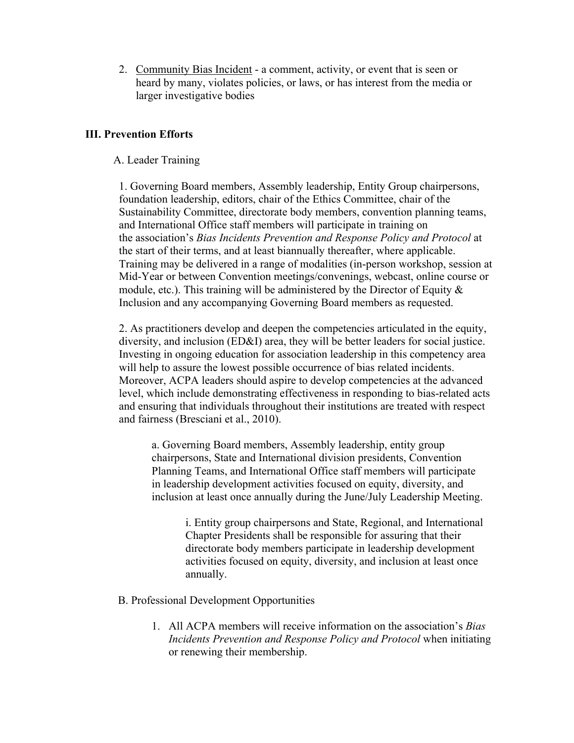2. Community Bias Incident - a comment, activity, or event that is seen or heard by many, violates policies, or laws, or has interest from the media or larger investigative bodies

#### **III. Prevention Efforts**

#### A. Leader Training

1. Governing Board members, Assembly leadership, Entity Group chairpersons, foundation leadership, editors, chair of the Ethics Committee, chair of the Sustainability Committee, directorate body members, convention planning teams, and International Office staff members will participate in training on the association's *Bias Incidents Prevention and Response Policy and Protocol* at the start of their terms, and at least biannually thereafter, where applicable. Training may be delivered in a range of modalities (in-person workshop, session at Mid-Year or between Convention meetings/convenings, webcast, online course or module, etc.). This training will be administered by the Director of Equity  $\&$ Inclusion and any accompanying Governing Board members as requested.

2. As practitioners develop and deepen the competencies articulated in the equity, diversity, and inclusion (ED&I) area, they will be better leaders for social justice. Investing in ongoing education for association leadership in this competency area will help to assure the lowest possible occurrence of bias related incidents. Moreover, ACPA leaders should aspire to develop competencies at the advanced level, which include demonstrating effectiveness in responding to bias-related acts and ensuring that individuals throughout their institutions are treated with respect and fairness (Bresciani et al., 2010).

a. Governing Board members, Assembly leadership, entity group chairpersons, State and International division presidents, Convention Planning Teams, and International Office staff members will participate in leadership development activities focused on equity, diversity, and inclusion at least once annually during the June/July Leadership Meeting.

i. Entity group chairpersons and State, Regional, and International Chapter Presidents shall be responsible for assuring that their directorate body members participate in leadership development activities focused on equity, diversity, and inclusion at least once annually.

- B. Professional Development Opportunities
	- 1. All ACPA members will receive information on the association's *Bias Incidents Prevention and Response Policy and Protocol* when initiating or renewing their membership.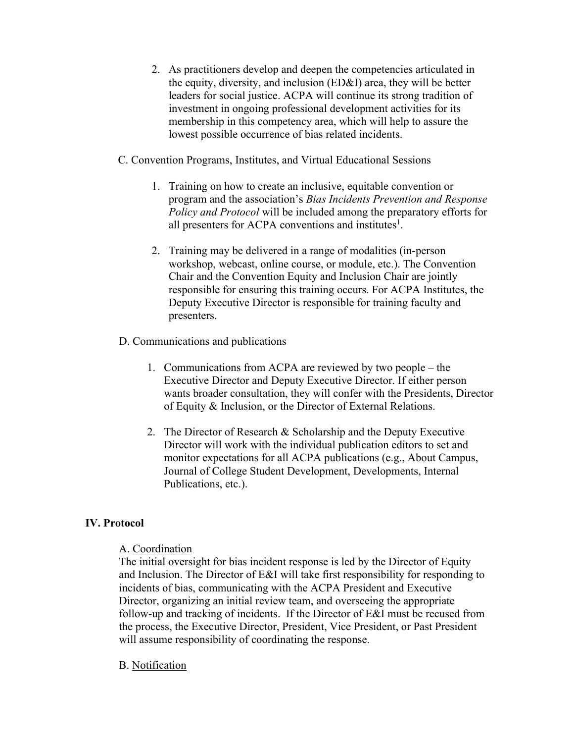- 2. As practitioners develop and deepen the competencies articulated in the equity, diversity, and inclusion (ED&I) area, they will be better leaders for social justice. ACPA will continue its strong tradition of investment in ongoing professional development activities for its membership in this competency area, which will help to assure the lowest possible occurrence of bias related incidents.
- C. Convention Programs, Institutes, and Virtual Educational Sessions
	- 1. Training on how to create an inclusive, equitable convention or program and the association's *Bias Incidents Prevention and Response Policy and Protocol* will be included among the preparatory efforts for all presenters for ACPA conventions and institutes<sup>1</sup>.
	- 2. Training may be delivered in a range of modalities (in-person workshop, webcast, online course, or module, etc.). The Convention Chair and the Convention Equity and Inclusion Chair are jointly responsible for ensuring this training occurs. For ACPA Institutes, the Deputy Executive Director is responsible for training faculty and presenters.

#### D. Communications and publications

- 1. Communications from ACPA are reviewed by two people the Executive Director and Deputy Executive Director. If either person wants broader consultation, they will confer with the Presidents, Director of Equity & Inclusion, or the Director of External Relations.
- 2. The Director of Research & Scholarship and the Deputy Executive Director will work with the individual publication editors to set and monitor expectations for all ACPA publications (e.g., About Campus, Journal of College Student Development, Developments, Internal Publications, etc.).

#### **IV. Protocol**

#### A. Coordination

The initial oversight for bias incident response is led by the Director of Equity and Inclusion. The Director of E&I will take first responsibility for responding to incidents of bias, communicating with the ACPA President and Executive Director, organizing an initial review team, and overseeing the appropriate follow-up and tracking of incidents. If the Director of E&I must be recused from the process, the Executive Director, President, Vice President, or Past President will assume responsibility of coordinating the response.

#### B. Notification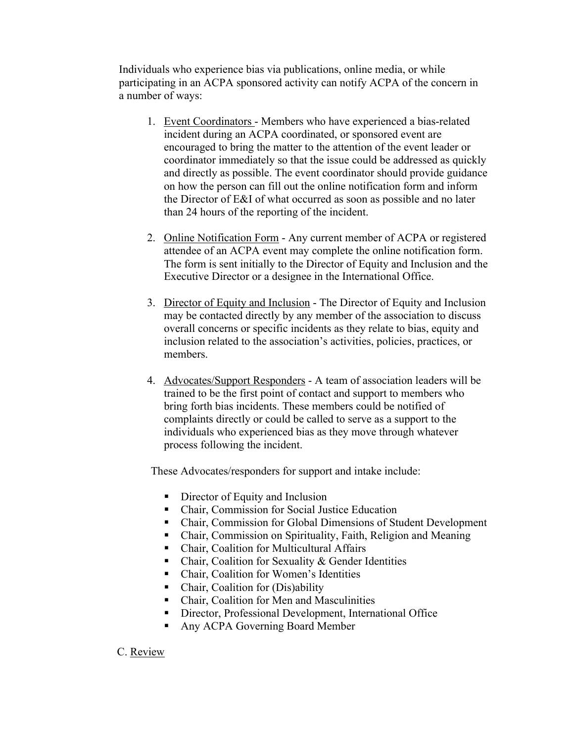Individuals who experience bias via publications, online media, or while participating in an ACPA sponsored activity can notify ACPA of the concern in a number of ways:

- 1. Event Coordinators Members who have experienced a bias-related incident during an ACPA coordinated, or sponsored event are encouraged to bring the matter to the attention of the event leader or coordinator immediately so that the issue could be addressed as quickly and directly as possible. The event coordinator should provide guidance on how the person can fill out the online notification form and inform the Director of E&I of what occurred as soon as possible and no later than 24 hours of the reporting of the incident.
- 2. Online Notification Form Any current member of ACPA or registered attendee of an ACPA event may complete the online notification form. The form is sent initially to the Director of Equity and Inclusion and the Executive Director or a designee in the International Office.
- 3. Director of Equity and Inclusion The Director of Equity and Inclusion may be contacted directly by any member of the association to discuss overall concerns or specific incidents as they relate to bias, equity and inclusion related to the association's activities, policies, practices, or members.
- 4. Advocates/Support Responders A team of association leaders will be trained to be the first point of contact and support to members who bring forth bias incidents. These members could be notified of complaints directly or could be called to serve as a support to the individuals who experienced bias as they move through whatever process following the incident.

These Advocates/responders for support and intake include:

- Director of Equity and Inclusion
- Chair, Commission for Social Justice Education
- Chair, Commission for Global Dimensions of Student Development
- Chair, Commission on Spirituality, Faith, Religion and Meaning
- Chair, Coalition for Multicultural Affairs
- Chair, Coalition for Sexuality & Gender Identities
- Chair, Coalition for Women's Identities
- Chair, Coalition for (Dis)ability
- Chair, Coalition for Men and Masculinities
- Director, Professional Development, International Office
- Any ACPA Governing Board Member

C. Review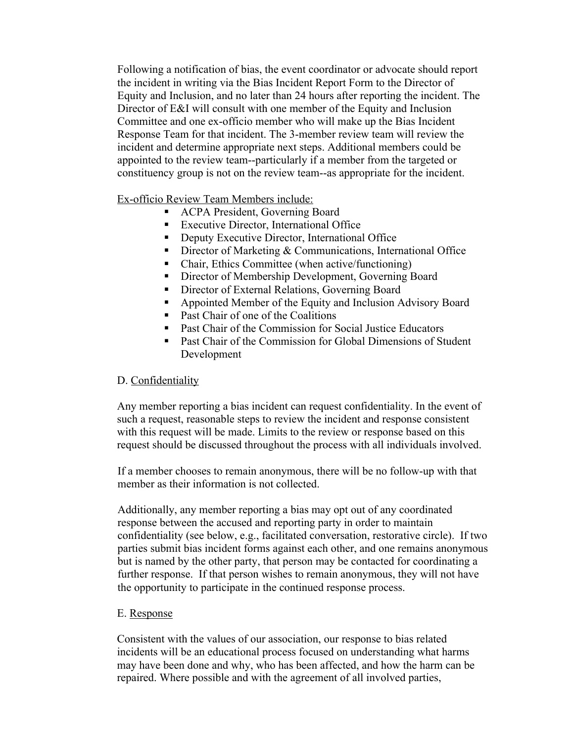Following a notification of bias, the event coordinator or advocate should report the incident in writing via the Bias Incident Report Form to the Director of Equity and Inclusion, and no later than 24 hours after reporting the incident. The Director of E&I will consult with one member of the Equity and Inclusion Committee and one ex-officio member who will make up the Bias Incident Response Team for that incident. The 3-member review team will review the incident and determine appropriate next steps. Additional members could be appointed to the review team--particularly if a member from the targeted or constituency group is not on the review team--as appropriate for the incident.

Ex-officio Review Team Members include:

- ACPA President, Governing Board
- Executive Director, International Office
- Deputy Executive Director, International Office
- Director of Marketing & Communications, International Office
- Chair, Ethics Committee (when active/functioning)
- Director of Membership Development, Governing Board
- Director of External Relations, Governing Board
- Appointed Member of the Equity and Inclusion Advisory Board
- Past Chair of one of the Coalitions
- Past Chair of the Commission for Social Justice Educators
- Past Chair of the Commission for Global Dimensions of Student Development

#### D. Confidentiality

Any member reporting a bias incident can request confidentiality. In the event of such a request, reasonable steps to review the incident and response consistent with this request will be made. Limits to the review or response based on this request should be discussed throughout the process with all individuals involved.

If a member chooses to remain anonymous, there will be no follow-up with that member as their information is not collected.

Additionally, any member reporting a bias may opt out of any coordinated response between the accused and reporting party in order to maintain confidentiality (see below, e.g., facilitated conversation, restorative circle). If two parties submit bias incident forms against each other, and one remains anonymous but is named by the other party, that person may be contacted for coordinating a further response. If that person wishes to remain anonymous, they will not have the opportunity to participate in the continued response process.

#### E. Response

Consistent with the values of our association, our response to bias related incidents will be an educational process focused on understanding what harms may have been done and why, who has been affected, and how the harm can be repaired. Where possible and with the agreement of all involved parties,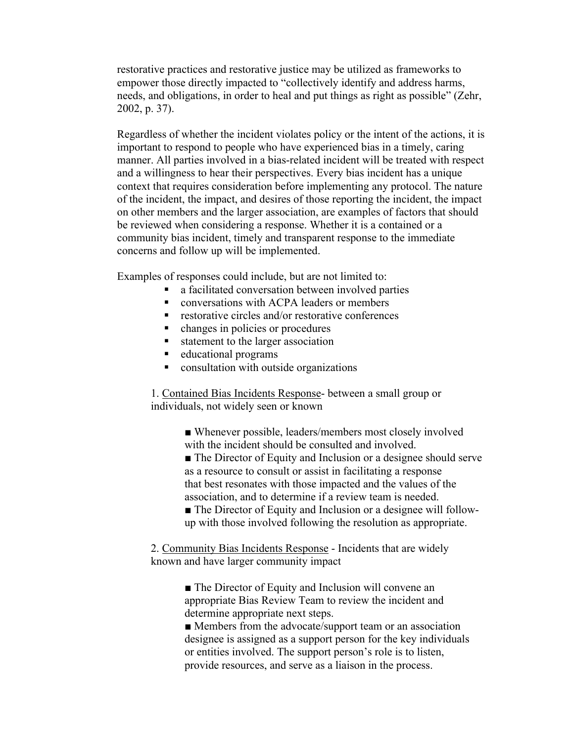restorative practices and restorative justice may be utilized as frameworks to empower those directly impacted to "collectively identify and address harms, needs, and obligations, in order to heal and put things as right as possible" (Zehr, 2002, p. 37).

Regardless of whether the incident violates policy or the intent of the actions, it is important to respond to people who have experienced bias in a timely, caring manner. All parties involved in a bias-related incident will be treated with respect and a willingness to hear their perspectives. Every bias incident has a unique context that requires consideration before implementing any protocol. The nature of the incident, the impact, and desires of those reporting the incident, the impact on other members and the larger association, are examples of factors that should be reviewed when considering a response. Whether it is a contained or a community bias incident, timely and transparent response to the immediate concerns and follow up will be implemented.

Examples of responses could include, but are not limited to:

- a facilitated conversation between involved parties<br>■ conversations with ACPA leaders or members
- § conversations with ACPA leaders or members
- restorative circles and/or restorative conferences<br>■ changes in nolicies or procedures
- § changes in policies or procedures
- statement to the larger association
- educational programs
- consultation with outside organizations

1. Contained Bias Incidents Response- between a small group or individuals, not widely seen or known

> ■ Whenever possible, leaders/members most closely involved with the incident should be consulted and involved.

■ The Director of Equity and Inclusion or a designee should serve as a resource to consult or assist in facilitating a response that best resonates with those impacted and the values of the association, and to determine if a review team is needed.

■ The Director of Equity and Inclusion or a designee will followup with those involved following the resolution as appropriate.

2. Community Bias Incidents Response - Incidents that are widely known and have larger community impact

> ■ The Director of Equity and Inclusion will convene an appropriate Bias Review Team to review the incident and determine appropriate next steps.

■ Members from the advocate/support team or an association designee is assigned as a support person for the key individuals or entities involved. The support person's role is to listen, provide resources, and serve as a liaison in the process.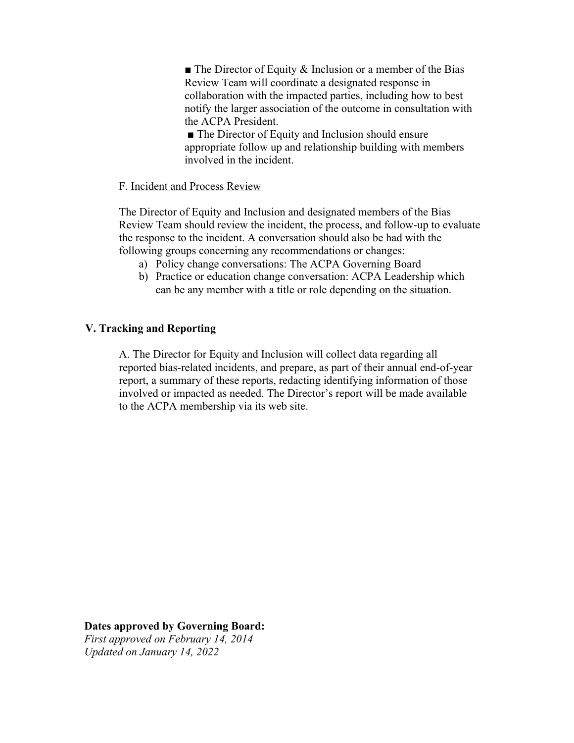$\blacksquare$  The Director of Equity & Inclusion or a member of the Bias Review Team will coordinate a designated response in collaboration with the impacted parties, including how to best notify the larger association of the outcome in consultation with the ACPA President.

■ The Director of Equity and Inclusion should ensure appropriate follow up and relationship building with members involved in the incident.

#### F. Incident and Process Review

The Director of Equity and Inclusion and designated members of the Bias Review Team should review the incident, the process, and follow-up to evaluate the response to the incident. A conversation should also be had with the following groups concerning any recommendations or changes:

- a) Policy change conversations: The ACPA Governing Board
- b) Practice or education change conversation: ACPA Leadership which can be any member with a title or role depending on the situation.

## **V. Tracking and Reporting**

A. The Director for Equity and Inclusion will collect data regarding all reported bias-related incidents, and prepare, as part of their annual end-of-year report, a summary of these reports, redacting identifying information of those involved or impacted as needed. The Director's report will be made available to the ACPA membership via its web site.

**Dates approved by Governing Board:**  *First approved on February 14, 2014 Updated on January 14, 2022*